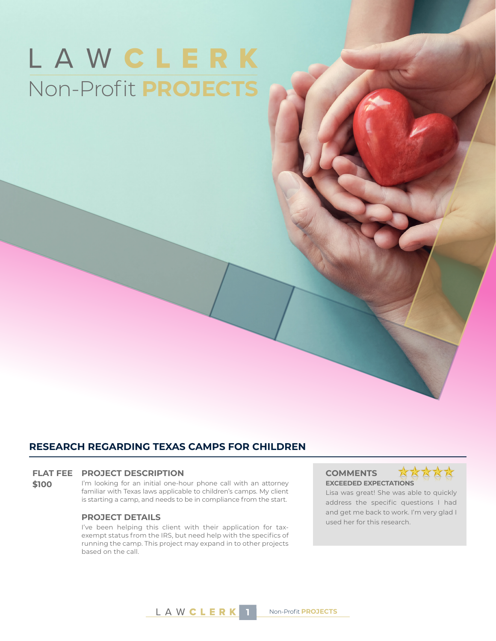# LAWCLERK Non-Profit **PROJECTS**

### **RESEARCH REGARDING TEXAS CAMPS FOR CHILDREN**

#### **FLAT FEE PROJECT DESCRIPTION COMMENTS**

**\$100** I'm looking for an initial one-hour phone call with an attorney familiar with Texas laws applicable to children's camps. My client is starting a camp, and needs to be in compliance from the start.

I've been helping this client with their application for taxexempt status from the IRS, but need help with the specifics of running the camp. This project may expand in to other projects based on the call.

# **EXCEEDED EXPECTATIONS**



Lisa was great! She was able to quickly address the specific questions I had and get me back to work. I'm very glad I **PROJECT DETAILS**<br>used her for this research.

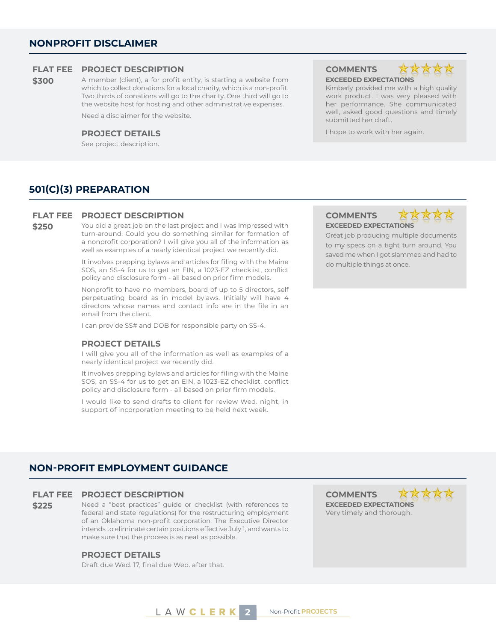#### **FLAT FEE PROJECT DESCRIPTION COMMENTS**

**\$300** A member (client), a for profit entity, is starting a website from which to collect donations for a local charity, which is a non-profit. Two thirds of donations will go to the charity. One third will go to the website host for hosting and other administrative expenses.

Need a disclaimer for the website.

See project description.

# **EXCEEDED EXPECTATIONS**



Kimberly provided me with a high quality work product. I was very pleased with her performance. She communicated well, asked good questions and timely submitted her draft.

**PROJECT DETAILS I** hope to work with her again.

### **501(C)(3) PREPARATION**

#### **FLAT FEE PROJECT DESCRIPTION COMMENTS**

**\$250** You did a great job on the last project and I was impressed with turn-around. Could you do something similar for formation of a nonprofit corporation? I will give you all of the information as well as examples of a nearly identical project we recently did.

> It involves prepping bylaws and articles for filing with the Maine SOS, an SS-4 for us to get an EIN, a 1023-EZ checklist, conflict policy and disclosure form - all based on prior firm models.

> Nonprofit to have no members, board of up to 5 directors, self perpetuating board as in model bylaws. Initially will have 4 directors whose names and contact info are in the file in an email from the client.

I can provide SS# and DOB for responsible party on SS-4.

#### **PROJECT DETAILS**

I will give you all of the information as well as examples of a nearly identical project we recently did.

It involves prepping bylaws and articles for filing with the Maine SOS, an SS-4 for us to get an EIN, a 1023-EZ checklist, conflict policy and disclosure form - all based on prior firm models.

I would like to send drafts to client for review Wed. night, in support of incorporation meeting to be held next week.

# **EXCEEDED EXPECTATIONS**



Great job producing multiple documents to my specs on a tight turn around. You saved me when I got slammed and had to do multiple things at once.

### **NON-PROFIT EMPLOYMENT GUIDANCE**

#### **FLAT FEE PROJECT DESCRIPTION COMMENTS**

**\$225** Need a "best practices" guide or checklist (with references to federal and state regulations) for the restructuring employment of an Oklahoma non-profit corporation. The Executive Director intends to eliminate certain positions effective July 1, and wants to make sure that the process is as neat as possible.

#### **PROJECT DETAILS**

Draft due Wed. 17, final due Wed. after that.

**XX EXCEEDED EXPECTATIONS** Very timely and thorough.



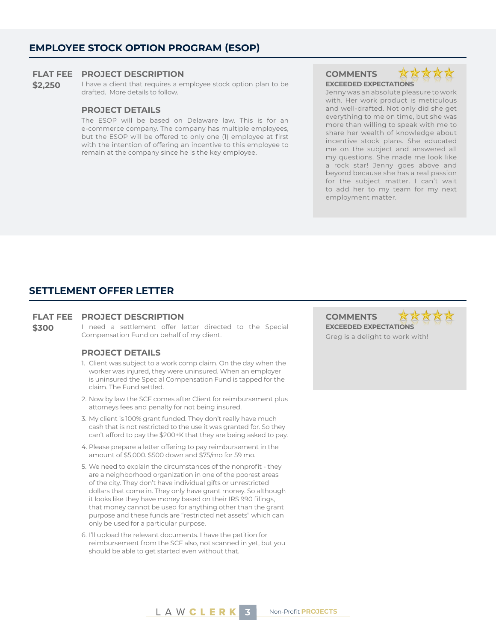### **EMPLOYEE STOCK OPTION PROGRAM (ESOP)**

#### **FLAT FEE PROJECT DESCRIPTION COMMENTS**

\$2,250 I have a client that requires a employee stock option plan to be drafted. More details to follow.

#### **PROJECT DETAILS**

The ESOP will be based on Delaware law. This is for an e-commerce company. The company has multiple employees, but the ESOP will be offered to only one (1) employee at first with the intention of offering an incentive to this employee to remain at the company since he is the key employee.

**EXCEEDED EXPECTATIONS**

Jenny was an absolute pleasure to work with. Her work product is meticulous and well-drafted. Not only did she get everything to me on time, but she was more than willing to speak with me to share her wealth of knowledge about incentive stock plans. She educated me on the subject and answered all my questions. She made me look like a rock star! Jenny goes above and beyond because she has a real passion for the subject matter. I can't wait to add her to my team for my next employment matter.

#### **SETTLEMENT OFFER LETTER**

#### **FLAT FEE PROJECT DESCRIPTION COMMENTS**

\$300 I need a settlement offer letter directed to the Special Compensation Fund on behalf of my client.

#### **PROJECT DETAILS**

- 1. Client was subject to a work comp claim. On the day when the worker was injured, they were uninsured. When an employer is uninsured the Special Compensation Fund is tapped for the claim. The Fund settled.
- 2. Now by law the SCF comes after Client for reimbursement plus attorneys fees and penalty for not being insured.
- 3. My client is 100% grant funded. They don't really have much cash that is not restricted to the use it was granted for. So they can't afford to pay the \$200+K that they are being asked to pay.
- 4. Please prepare a letter offering to pay reimbursement in the amount of \$5,000. \$500 down and \$75/mo for 59 mo.
- 5. We need to explain the circumstances of the nonprofit they are a neighborhood organization in one of the poorest areas of the city. They don't have individual gifts or unrestricted dollars that come in. They only have grant money. So although it looks like they have money based on their IRS 990 filings, that money cannot be used for anything other than the grant purpose and these funds are "restricted net assets" which can only be used for a particular purpose.
- 6. I'll upload the relevant documents. I have the petition for reimbursement from the SCF also, not scanned in yet, but you should be able to get started even without that.

**EXCEEDED EXPECTATIONS**



Greg is a delight to work with!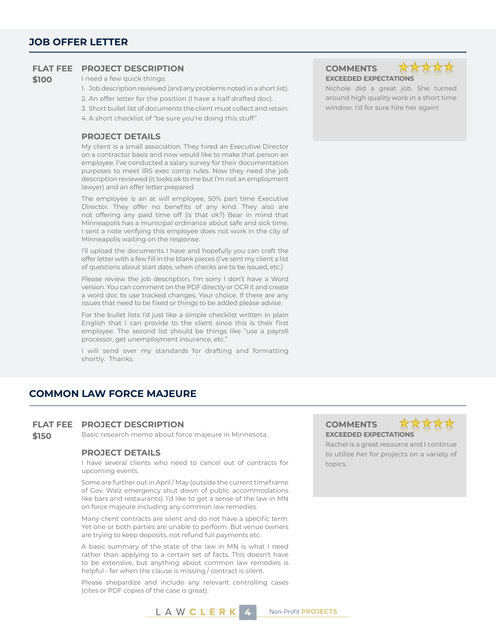#### **FLAT FEE PROJECT DESCRIPTION COMMENTS**

#### **\$100** I need a few quick things:

1. Job description reviewed (and any problems noted in a short list).

- 2. An offer letter for the position (I have a half drafted doc).
- 3. Short bullet list of documents the client must collect and retain.

4. A short checklist of "be sure you're doing this stuff".

#### **PROJECT DETAILS**

My client is a small association. They hired an Executive Director on a contractor basis and now would like to make that person an employee. I've conducted a salary survey for their documentation purposes to meet IRS exec comp rules. Now they need the job description reviewed (it looks ok to me but I'm not an employment lawyer) and an offer letter prepared.

The employee is an at will employee, 50% part time Executive Director. They offer no benefits of any kind. They also are not offering any paid time off (is that ok?) Bear in mind that Minneapolis has a municipal ordinance about safe and sick time. I sent a note verifying this employee does not work in the city of Minneapolis waiting on the response.

I'll upload the documents I have and hopefully you can craft the offer letter with a few fill in the blank pieces (I've sent my client a list of questions about start date, when checks are to be issued, etc.)

Please review the job description, I'm sorry I don't have a Word version. You can comment on the PDF directly or OCR it and create a word doc to use tracked changes. Your choice. If there are any issues that need to be fixed or things to be added please advise.

For the bullet lists I'd just like a simple checklist written in plain English that I can provide to the client since this is their first employee. The second list should be things like "use a payroll processor, get unemployment insurance, etc."

I will send over my standards for drafting and formatting shortly. Thanks.

**EXCEEDED EXPECTATIONS**

**XX** 

Nichole did a great job. She turned around high quality work in a short time window. I'd for sure hire her again!

### **COMMON LAW FORCE MAJEURE**

#### **FLAT FEE PROJECT DESCRIPTION COMMENTS**

**\$150** Basic research memo about force majeure in Minnesota. **EXCEEDED EXPECTATIONS**

#### **PROJECT DETAILS**

I have several clients who need to cancel out of contracts for upcoming events.

Some are further out in April / May (outside the current timeframe of Gov. Walz emergency shut down of public accommodations like bars and restaurants). I'd like to get a sense of the law in MN on force majeure including any common law remedies.

Many client contracts are silent and do not have a specific term. Yet one or both parties are unable to perform. But venue owners are trying to keep deposits, not refund full payments etc.

A basic summary of the state of the law in MN is what I need rather than applying to a certain set of facts. This doesn't have to be extensive, but anything about common law remedies is helpful - for when the clause is missing / contract is silent.

Please shepardize and include any relevant controlling cases (cites or PDF copies of the case is great).



Rachel is a great resource and I continue to utilize her for projects on a variety of topics.

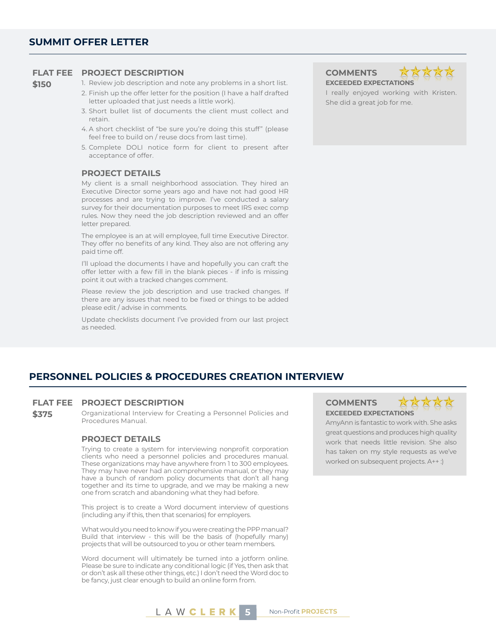#### **FLAT FEE PROJECT DESCRIPTION COMMENTS**

**\$150** 1. Review job description and note any problems in a short list.

- 2. Finish up the offer letter for the position (I have a half drafted letter uploaded that just needs a little work).
- 3. Short bullet list of documents the client must collect and retain.
- 4. A short checklist of "be sure you're doing this stuff" (please feel free to build on / reuse docs from last time).
- 5. Complete DOLI notice form for client to present after acceptance of offer.

#### **PROJECT DETAILS**

My client is a small neighborhood association. They hired an Executive Director some years ago and have not had good HR processes and are trying to improve. I've conducted a salary survey for their documentation purposes to meet IRS exec comp rules. Now they need the job description reviewed and an offer letter prepared.

The employee is an at will employee, full time Executive Director. They offer no benefits of any kind. They also are not offering any paid time off.

I'll upload the documents I have and hopefully you can craft the offer letter with a few fill in the blank pieces - if info is missing point it out with a tracked changes comment.

Please review the job description and use tracked changes. If there are any issues that need to be fixed or things to be added please edit / advise in comments.

Update checklists document I've provided from our last project as needed.

**EXCEEDED EXPECTATIONS**

I really enjoyed working with Kristen. She did a great job for me.

### **PERSONNEL POLICIES & PROCEDURES CREATION INTERVIEW**

#### **FLAT FEE PROJECT DESCRIPTION COMMENTS**

**\$375** Organizational Interview for Creating a Personnel Policies and Procedures Manual.

#### **PROJECT DETAILS**

Trying to create a system for interviewing nonprofit corporation clients who need a personnel policies and procedures manual. These organizations may have anywhere from 1 to 300 employees. They may have never had an comprehensive manual, or they may have a bunch of random policy documents that don't all hang together and its time to upgrade, and we may be making a new one from scratch and abandoning what they had before.

This project is to create a Word document interview of questions (including any if this, then that scenarios) for employers.

What would you need to know if you were creating the PPP manual? Build that interview - this will be the basis of (hopefully many) projects that will be outsourced to you or other team members.

Word document will ultimately be turned into a jotform online. Please be sure to indicate any conditional logic (if Yes, then ask that or don't ask all these other things, etc.) I don't need the Word doc to be fancy, just clear enough to build an online form from.

## **EXCEEDED EXPECTATIONS**



AmyAnn is fantastic to work with. She asks great questions and produces high quality work that needs little revision. She also has taken on my style requests as we've worked on subsequent projects. A++ :)

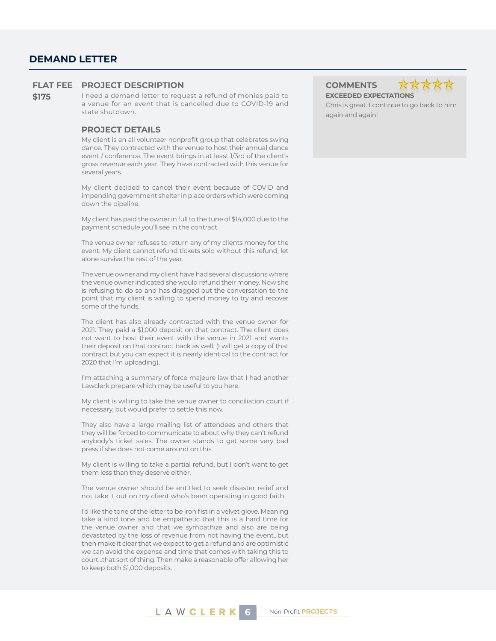### **DEMAND LETTER**

#### **FLAT FEE PROJECT DESCRIPTION COMMENTS**

**\$175** I need a demand letter to request a refund of monies paid to a venue for an event that is cancelled due to COVID-19 and state shutdown.

#### **PROJECT DETAILS**

My client is an all volunteer nonprofit group that celebrates swing dance. They contracted with the venue to host their annual dance event / conference. The event brings in at least 1/3rd of the client's gross revenue each year. They have contracted with this venue for several years.

My client decided to cancel their event because of COVID and impending government shelter in place orders which were coming down the pipeline.

My client has paid the owner in full to the tune of \$14,000 due to the payment schedule you'll see in the contract.

The venue owner refuses to return any of my clients money for the event. My client cannot refund tickets sold without this refund, let alone survive the rest of the year.

The venue owner and my client have had several discussions where the venue owner indicated she would refund their money. Now she is refusing to do so and has dragged out the conversation to the point that my client is willing to spend money to try and recover some of the funds.

The client has also already contracted with the venue owner for 2021. They paid a \$1,000 deposit on that contract. The client does not want to host their event with the venue in 2021 and wants their deposit on that contract back as well. (I will get a copy of that contract but you can expect it is nearly identical to the contract for 2020 that I'm uploading).

I'm attaching a summary of force majeure law that I had another Lawclerk prepare which may be useful to you here.

My client is willing to take the venue owner to conciliation court if necessary, but would prefer to settle this now.

They also have a large mailing list of attendees and others that they will be forced to communicate to about why they can't refund anybody's ticket sales. The owner stands to get some very bad press if she does not come around on this.

My client is willing to take a partial refund, but I don't want to get them less than they deserve either.

The venue owner should be entitled to seek disaster relief and not take it out on my client who's been operating in good faith.

I'd like the tone of the letter to be iron fist in a velvet glove. Meaning take a kind tone and be empathetic that this is a hard time for the venue owner and that we sympathize and also are being devastated by the loss of revenue from not having the event...but then make it clear that we expect to get a refund and are optimistic we can avoid the expense and time that comes with taking this to court...that sort of thing. Then make a reasonable offer allowing her to keep both \$1,000 deposits.

**EXCEEDED EXPECTATIONS**



Chris is great. I continue to go back to him again and again!